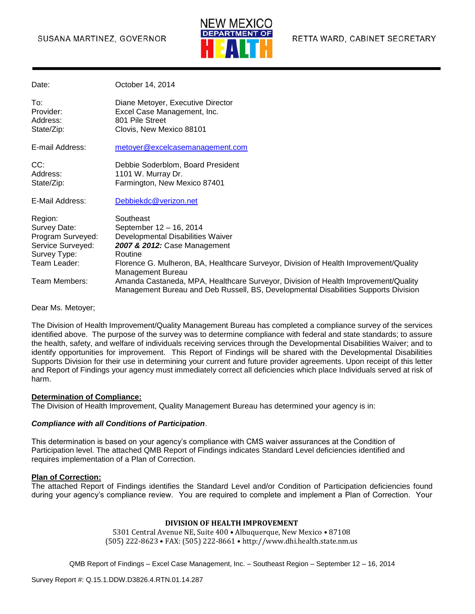#### SUSANA MARTINEZ, GOVERNOR



| Date:                                                                                             | October 14, 2014                                                                                                                                                                                              |
|---------------------------------------------------------------------------------------------------|---------------------------------------------------------------------------------------------------------------------------------------------------------------------------------------------------------------|
| To:<br>Provider:<br>Address:<br>State/Zip:                                                        | Diane Metoyer, Executive Director<br>Excel Case Management, Inc.<br>801 Pile Street<br>Clovis, New Mexico 88101                                                                                               |
| E-mail Address:                                                                                   | metoyer@excelcasemanagement.com                                                                                                                                                                               |
| CC:<br>Address:<br>State/Zip:                                                                     | Debbie Soderblom, Board President<br>1101 W. Murray Dr.<br>Farmington, New Mexico 87401                                                                                                                       |
| E-Mail Address:                                                                                   | Debbiekdc@verizon.net                                                                                                                                                                                         |
| Region:<br>Survey Date:<br>Program Surveyed:<br>Service Surveyed:<br>Survey Type:<br>Team Leader: | Southeast<br>September 12 - 16, 2014<br>Developmental Disabilities Waiver<br>2007 & 2012: Case Management<br>Routine<br>Florence G. Mulheron, BA, Healthcare Surveyor, Division of Health Improvement/Quality |
| Team Members:                                                                                     | <b>Management Bureau</b><br>Amanda Castaneda, MPA, Healthcare Surveyor, Division of Health Improvement/Quality<br>Management Bureau and Deb Russell, BS, Developmental Disabilities Supports Division         |

Dear Ms. Metoyer;

The Division of Health Improvement/Quality Management Bureau has completed a compliance survey of the services identified above. The purpose of the survey was to determine compliance with federal and state standards; to assure the health, safety, and welfare of individuals receiving services through the Developmental Disabilities Waiver; and to identify opportunities for improvement. This Report of Findings will be shared with the Developmental Disabilities Supports Division for their use in determining your current and future provider agreements. Upon receipt of this letter and Report of Findings your agency must immediately correct all deficiencies which place Individuals served at risk of harm.

#### **Determination of Compliance:**

The Division of Health Improvement, Quality Management Bureau has determined your agency is in:

#### *Compliance with all Conditions of Participation*.

This determination is based on your agency's compliance with CMS waiver assurances at the Condition of Participation level. The attached QMB Report of Findings indicates Standard Level deficiencies identified and requires implementation of a Plan of Correction.

#### **Plan of Correction:**

The attached Report of Findings identifies the Standard Level and/or Condition of Participation deficiencies found during your agency's compliance review. You are required to complete and implement a Plan of Correction. Your

#### **DIVISION OF HEALTH IMPROVEMENT**

5301 Central Avenue NE, Suite 400 • Albuquerque, New Mexico • 87108 (505) 222-8623 • FAX: (505) 222-8661 • http://www.dhi.health.state.nm.us

```
QMB Report of Findings – Excel Case Management, Inc. – Southeast Region – September 12 – 16, 2014
```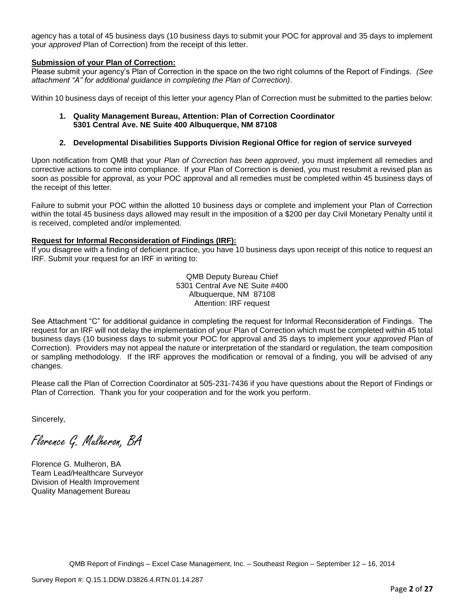agency has a total of 45 business days (10 business days to submit your POC for approval and 35 days to implement your *approved* Plan of Correction) from the receipt of this letter.

#### **Submission of your Plan of Correction:**

Please submit your agency's Plan of Correction in the space on the two right columns of the Report of Findings. *(See attachment "A" for additional guidance in completing the Plan of Correction)*.

Within 10 business days of receipt of this letter your agency Plan of Correction must be submitted to the parties below:

#### **1. Quality Management Bureau, Attention: Plan of Correction Coordinator 5301 Central Ave. NE Suite 400 Albuquerque, NM 87108**

#### **2. Developmental Disabilities Supports Division Regional Office for region of service surveyed**

Upon notification from QMB that your *Plan of Correction has been approved*, you must implement all remedies and corrective actions to come into compliance. If your Plan of Correction is denied, you must resubmit a revised plan as soon as possible for approval, as your POC approval and all remedies must be completed within 45 business days of the receipt of this letter.

Failure to submit your POC within the allotted 10 business days or complete and implement your Plan of Correction within the total 45 business days allowed may result in the imposition of a \$200 per day Civil Monetary Penalty until it is received, completed and/or implemented.

#### **Request for Informal Reconsideration of Findings (IRF):**

If you disagree with a finding of deficient practice, you have 10 business days upon receipt of this notice to request an IRF. Submit your request for an IRF in writing to:

> QMB Deputy Bureau Chief 5301 Central Ave NE Suite #400 Albuquerque, NM 87108 Attention: IRF request

See Attachment "C" for additional guidance in completing the request for Informal Reconsideration of Findings. The request for an IRF will not delay the implementation of your Plan of Correction which must be completed within 45 total business days (10 business days to submit your POC for approval and 35 days to implement your *approved* Plan of Correction). Providers may not appeal the nature or interpretation of the standard or regulation, the team composition or sampling methodology. If the IRF approves the modification or removal of a finding, you will be advised of any changes.

Please call the Plan of Correction Coordinator at 505-231-7436 if you have questions about the Report of Findings or Plan of Correction. Thank you for your cooperation and for the work you perform.

Sincerely,

Florence G. Mulheron, BA

Florence G. Mulheron, BA Team Lead/Healthcare Surveyor Division of Health Improvement Quality Management Bureau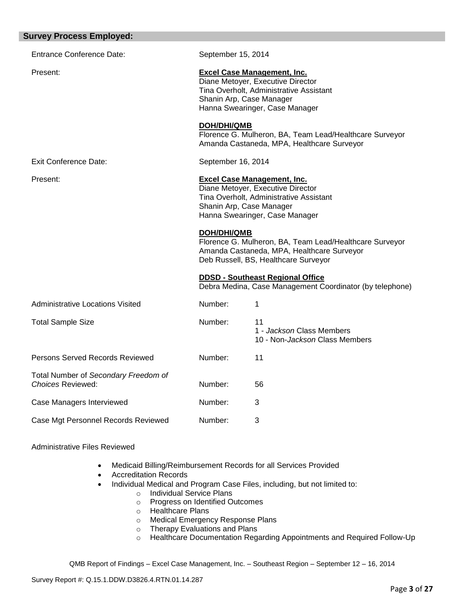| <b>Survey Process Employed:</b>                                  |                    |                                                                                                                                                                                  |
|------------------------------------------------------------------|--------------------|----------------------------------------------------------------------------------------------------------------------------------------------------------------------------------|
| <b>Entrance Conference Date:</b>                                 | September 15, 2014 |                                                                                                                                                                                  |
| Present:                                                         |                    | <b>Excel Case Management, Inc.</b><br>Diane Metoyer, Executive Director<br>Tina Overholt, Administrative Assistant<br>Shanin Arp, Case Manager<br>Hanna Swearinger, Case Manager |
|                                                                  | <b>DOH/DHI/QMB</b> | Florence G. Mulheron, BA, Team Lead/Healthcare Surveyor<br>Amanda Castaneda, MPA, Healthcare Surveyor                                                                            |
| Exit Conference Date:                                            | September 16, 2014 |                                                                                                                                                                                  |
| Present:                                                         |                    | <b>Excel Case Management, Inc.</b><br>Diane Metoyer, Executive Director<br>Tina Overholt, Administrative Assistant<br>Shanin Arp, Case Manager<br>Hanna Swearinger, Case Manager |
|                                                                  | <b>DOH/DHI/QMB</b> | Florence G. Mulheron, BA, Team Lead/Healthcare Surveyor<br>Amanda Castaneda, MPA, Healthcare Surveyor<br>Deb Russell, BS, Healthcare Surveyor                                    |
|                                                                  |                    | <b>DDSD - Southeast Regional Office</b><br>Debra Medina, Case Management Coordinator (by telephone)                                                                              |
| <b>Administrative Locations Visited</b>                          | Number:            | 1                                                                                                                                                                                |
| <b>Total Sample Size</b>                                         | Number:            | 11<br>1 - Jackson Class Members<br>10 - Non-Jackson Class Members                                                                                                                |
| Persons Served Records Reviewed                                  | Number:            | 11                                                                                                                                                                               |
| Total Number of Secondary Freedom of<br><b>Choices Reviewed:</b> | Number:            | 56                                                                                                                                                                               |
| Case Managers Interviewed                                        | Number:            | 3                                                                                                                                                                                |
| Case Mgt Personnel Records Reviewed                              | Number:            | 3                                                                                                                                                                                |
| <b>Administrative Files Reviewed</b>                             |                    |                                                                                                                                                                                  |

#### Medicaid Billing/Reimbursement Records for all Services Provided

- Accreditation Records
- Individual Medical and Program Case Files, including, but not limited to:
	- o Individual Service Plans
	- o Progress on Identified Outcomes
	- o Healthcare Plans
	- o Medical Emergency Response Plans
	- o Therapy Evaluations and Plans
	- o Healthcare Documentation Regarding Appointments and Required Follow-Up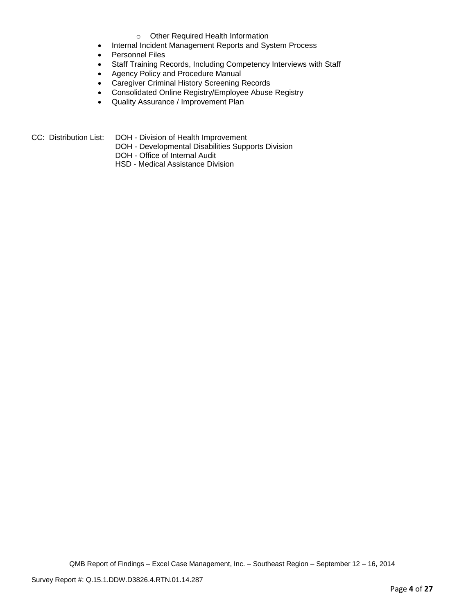#### o Other Required Health Information

- Internal Incident Management Reports and System Process
- Personnel Files
- Staff Training Records, Including Competency Interviews with Staff
- Agency Policy and Procedure Manual
- Caregiver Criminal History Screening Records
- Consolidated Online Registry/Employee Abuse Registry
- Quality Assurance / Improvement Plan
- CC: Distribution List: DOH Division of Health Improvement
	- DOH Developmental Disabilities Supports Division
	- DOH Office of Internal Audit
	- HSD Medical Assistance Division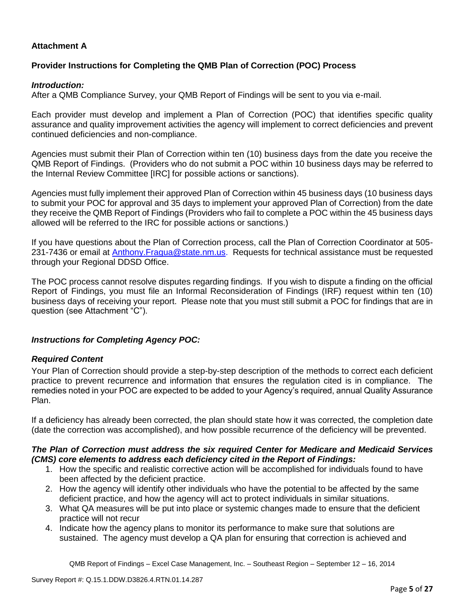# **Attachment A**

# **Provider Instructions for Completing the QMB Plan of Correction (POC) Process**

## *Introduction:*

After a QMB Compliance Survey, your QMB Report of Findings will be sent to you via e-mail.

Each provider must develop and implement a Plan of Correction (POC) that identifies specific quality assurance and quality improvement activities the agency will implement to correct deficiencies and prevent continued deficiencies and non-compliance.

Agencies must submit their Plan of Correction within ten (10) business days from the date you receive the QMB Report of Findings. (Providers who do not submit a POC within 10 business days may be referred to the Internal Review Committee [IRC] for possible actions or sanctions).

Agencies must fully implement their approved Plan of Correction within 45 business days (10 business days to submit your POC for approval and 35 days to implement your approved Plan of Correction) from the date they receive the QMB Report of Findings (Providers who fail to complete a POC within the 45 business days allowed will be referred to the IRC for possible actions or sanctions.)

If you have questions about the Plan of Correction process, call the Plan of Correction Coordinator at 505- 231-7436 or email at Anthony.Fragua@state.nm.us. Requests for technical assistance must be requested through your Regional DDSD Office.

The POC process cannot resolve disputes regarding findings. If you wish to dispute a finding on the official Report of Findings, you must file an Informal Reconsideration of Findings (IRF) request within ten (10) business days of receiving your report. Please note that you must still submit a POC for findings that are in question (see Attachment "C").

# *Instructions for Completing Agency POC:*

# *Required Content*

Your Plan of Correction should provide a step-by-step description of the methods to correct each deficient practice to prevent recurrence and information that ensures the regulation cited is in compliance. The remedies noted in your POC are expected to be added to your Agency's required, annual Quality Assurance Plan.

If a deficiency has already been corrected, the plan should state how it was corrected, the completion date (date the correction was accomplished), and how possible recurrence of the deficiency will be prevented.

## *The Plan of Correction must address the six required Center for Medicare and Medicaid Services (CMS) core elements to address each deficiency cited in the Report of Findings:*

- 1. How the specific and realistic corrective action will be accomplished for individuals found to have been affected by the deficient practice.
- 2. How the agency will identify other individuals who have the potential to be affected by the same deficient practice, and how the agency will act to protect individuals in similar situations.
- 3. What QA measures will be put into place or systemic changes made to ensure that the deficient practice will not recur
- 4. Indicate how the agency plans to monitor its performance to make sure that solutions are sustained. The agency must develop a QA plan for ensuring that correction is achieved and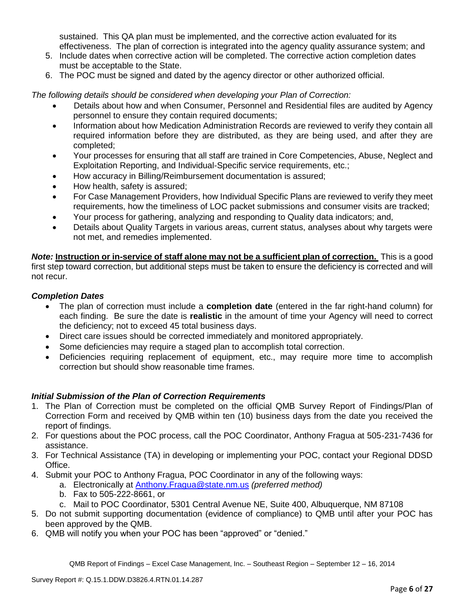sustained. This QA plan must be implemented, and the corrective action evaluated for its effectiveness. The plan of correction is integrated into the agency quality assurance system; and

- 5. Include dates when corrective action will be completed. The corrective action completion dates must be acceptable to the State.
- 6. The POC must be signed and dated by the agency director or other authorized official.

*The following details should be considered when developing your Plan of Correction:*

- Details about how and when Consumer, Personnel and Residential files are audited by Agency personnel to ensure they contain required documents;
- Information about how Medication Administration Records are reviewed to verify they contain all required information before they are distributed, as they are being used, and after they are completed;
- Your processes for ensuring that all staff are trained in Core Competencies, Abuse, Neglect and Exploitation Reporting, and Individual-Specific service requirements, etc.;
- How accuracy in Billing/Reimbursement documentation is assured;
- How health, safety is assured;
- For Case Management Providers, how Individual Specific Plans are reviewed to verify they meet requirements, how the timeliness of LOC packet submissions and consumer visits are tracked;
- Your process for gathering, analyzing and responding to Quality data indicators; and,
- Details about Quality Targets in various areas, current status, analyses about why targets were not met, and remedies implemented.

*Note:* **Instruction or in-service of staff alone may not be a sufficient plan of correction.** This is a good first step toward correction, but additional steps must be taken to ensure the deficiency is corrected and will not recur.

## *Completion Dates*

- The plan of correction must include a **completion date** (entered in the far right-hand column) for each finding. Be sure the date is **realistic** in the amount of time your Agency will need to correct the deficiency; not to exceed 45 total business days.
- Direct care issues should be corrected immediately and monitored appropriately.
- Some deficiencies may require a staged plan to accomplish total correction.
- Deficiencies requiring replacement of equipment, etc., may require more time to accomplish correction but should show reasonable time frames.

# *Initial Submission of the Plan of Correction Requirements*

- 1. The Plan of Correction must be completed on the official QMB Survey Report of Findings/Plan of Correction Form and received by QMB within ten (10) business days from the date you received the report of findings.
- 2. For questions about the POC process, call the POC Coordinator, Anthony Fragua at 505-231-7436 for assistance.
- 3. For Technical Assistance (TA) in developing or implementing your POC, contact your Regional DDSD Office.
- 4. Submit your POC to Anthony Fragua, POC Coordinator in any of the following ways:
	- a. Electronically at Anthony.Fragua@state.nm.us *(preferred method)*
	- b. Fax to 505-222-8661, or
	- c. Mail to POC Coordinator, 5301 Central Avenue NE, Suite 400, Albuquerque, NM 87108
- 5. Do not submit supporting documentation (evidence of compliance) to QMB until after your POC has been approved by the QMB.
- 6. QMB will notify you when your POC has been "approved" or "denied."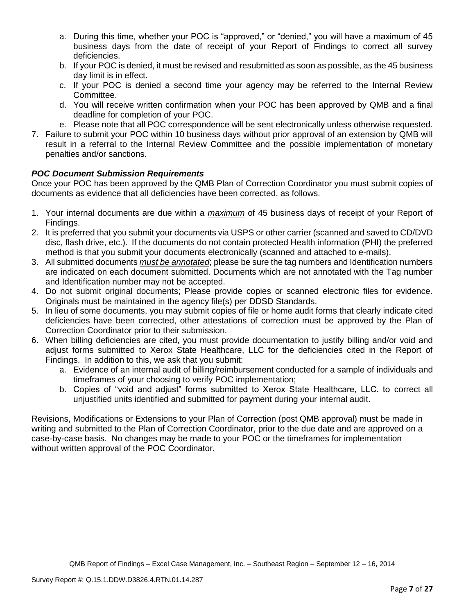- a. During this time, whether your POC is "approved," or "denied," you will have a maximum of 45 business days from the date of receipt of your Report of Findings to correct all survey deficiencies.
- b. If your POC is denied, it must be revised and resubmitted as soon as possible, as the 45 business day limit is in effect.
- c. If your POC is denied a second time your agency may be referred to the Internal Review Committee.
- d. You will receive written confirmation when your POC has been approved by QMB and a final deadline for completion of your POC.
- e. Please note that all POC correspondence will be sent electronically unless otherwise requested.
- 7. Failure to submit your POC within 10 business days without prior approval of an extension by QMB will result in a referral to the Internal Review Committee and the possible implementation of monetary penalties and/or sanctions.

# *POC Document Submission Requirements*

Once your POC has been approved by the QMB Plan of Correction Coordinator you must submit copies of documents as evidence that all deficiencies have been corrected, as follows.

- 1. Your internal documents are due within a *maximum* of 45 business days of receipt of your Report of Findings.
- 2. It is preferred that you submit your documents via USPS or other carrier (scanned and saved to CD/DVD disc, flash drive, etc.). If the documents do not contain protected Health information (PHI) the preferred method is that you submit your documents electronically (scanned and attached to e-mails).
- 3. All submitted documents *must be annotated*; please be sure the tag numbers and Identification numbers are indicated on each document submitted. Documents which are not annotated with the Tag number and Identification number may not be accepted.
- 4. Do not submit original documents; Please provide copies or scanned electronic files for evidence. Originals must be maintained in the agency file(s) per DDSD Standards.
- 5. In lieu of some documents, you may submit copies of file or home audit forms that clearly indicate cited deficiencies have been corrected, other attestations of correction must be approved by the Plan of Correction Coordinator prior to their submission.
- 6. When billing deficiencies are cited, you must provide documentation to justify billing and/or void and adjust forms submitted to Xerox State Healthcare, LLC for the deficiencies cited in the Report of Findings. In addition to this, we ask that you submit:
	- a. Evidence of an internal audit of billing/reimbursement conducted for a sample of individuals and timeframes of your choosing to verify POC implementation;
	- b. Copies of "void and adjust" forms submitted to Xerox State Healthcare, LLC. to correct all unjustified units identified and submitted for payment during your internal audit.

Revisions, Modifications or Extensions to your Plan of Correction (post QMB approval) must be made in writing and submitted to the Plan of Correction Coordinator, prior to the due date and are approved on a case-by-case basis. No changes may be made to your POC or the timeframes for implementation without written approval of the POC Coordinator.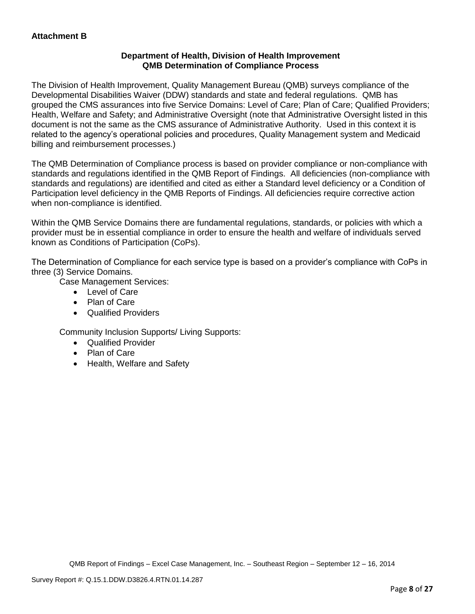# **Department of Health, Division of Health Improvement QMB Determination of Compliance Process**

The Division of Health Improvement, Quality Management Bureau (QMB) surveys compliance of the Developmental Disabilities Waiver (DDW) standards and state and federal regulations. QMB has grouped the CMS assurances into five Service Domains: Level of Care; Plan of Care; Qualified Providers; Health, Welfare and Safety; and Administrative Oversight (note that Administrative Oversight listed in this document is not the same as the CMS assurance of Administrative Authority. Used in this context it is related to the agency's operational policies and procedures, Quality Management system and Medicaid billing and reimbursement processes.)

The QMB Determination of Compliance process is based on provider compliance or non-compliance with standards and regulations identified in the QMB Report of Findings. All deficiencies (non-compliance with standards and regulations) are identified and cited as either a Standard level deficiency or a Condition of Participation level deficiency in the QMB Reports of Findings. All deficiencies require corrective action when non-compliance is identified.

Within the QMB Service Domains there are fundamental regulations, standards, or policies with which a provider must be in essential compliance in order to ensure the health and welfare of individuals served known as Conditions of Participation (CoPs).

The Determination of Compliance for each service type is based on a provider's compliance with CoPs in three (3) Service Domains.

Case Management Services:

- Level of Care
- Plan of Care
- Qualified Providers

Community Inclusion Supports/ Living Supports:

- Qualified Provider
- Plan of Care
- Health, Welfare and Safety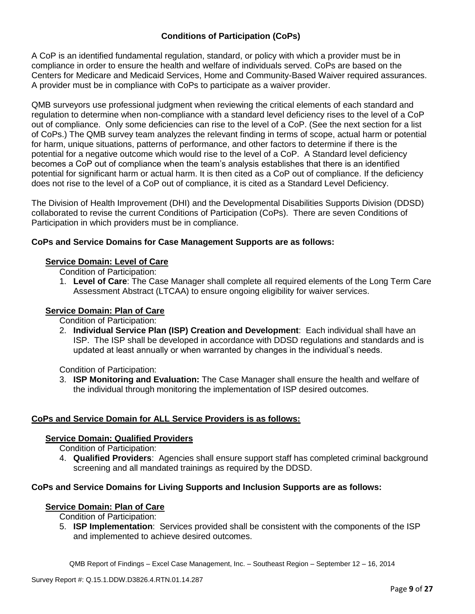# **Conditions of Participation (CoPs)**

A CoP is an identified fundamental regulation, standard, or policy with which a provider must be in compliance in order to ensure the health and welfare of individuals served. CoPs are based on the Centers for Medicare and Medicaid Services, Home and Community-Based Waiver required assurances. A provider must be in compliance with CoPs to participate as a waiver provider.

QMB surveyors use professional judgment when reviewing the critical elements of each standard and regulation to determine when non-compliance with a standard level deficiency rises to the level of a CoP out of compliance. Only some deficiencies can rise to the level of a CoP. (See the next section for a list of CoPs.) The QMB survey team analyzes the relevant finding in terms of scope, actual harm or potential for harm, unique situations, patterns of performance, and other factors to determine if there is the potential for a negative outcome which would rise to the level of a CoP. A Standard level deficiency becomes a CoP out of compliance when the team's analysis establishes that there is an identified potential for significant harm or actual harm. It is then cited as a CoP out of compliance. If the deficiency does not rise to the level of a CoP out of compliance, it is cited as a Standard Level Deficiency.

The Division of Health Improvement (DHI) and the Developmental Disabilities Supports Division (DDSD) collaborated to revise the current Conditions of Participation (CoPs). There are seven Conditions of Participation in which providers must be in compliance.

# **CoPs and Service Domains for Case Management Supports are as follows:**

# **Service Domain: Level of Care**

Condition of Participation:

1. **Level of Care**: The Case Manager shall complete all required elements of the Long Term Care Assessment Abstract (LTCAA) to ensure ongoing eligibility for waiver services.

# **Service Domain: Plan of Care**

Condition of Participation:

2. **Individual Service Plan (ISP) Creation and Development**: Each individual shall have an ISP. The ISP shall be developed in accordance with DDSD regulations and standards and is updated at least annually or when warranted by changes in the individual's needs.

Condition of Participation:

3. **ISP Monitoring and Evaluation:** The Case Manager shall ensure the health and welfare of the individual through monitoring the implementation of ISP desired outcomes.

# **CoPs and Service Domain for ALL Service Providers is as follows:**

# **Service Domain: Qualified Providers**

Condition of Participation:

4. **Qualified Providers**: Agencies shall ensure support staff has completed criminal background screening and all mandated trainings as required by the DDSD.

# **CoPs and Service Domains for Living Supports and Inclusion Supports are as follows:**

### **Service Domain: Plan of Care**

Condition of Participation:

5. **ISP Implementation**: Services provided shall be consistent with the components of the ISP and implemented to achieve desired outcomes.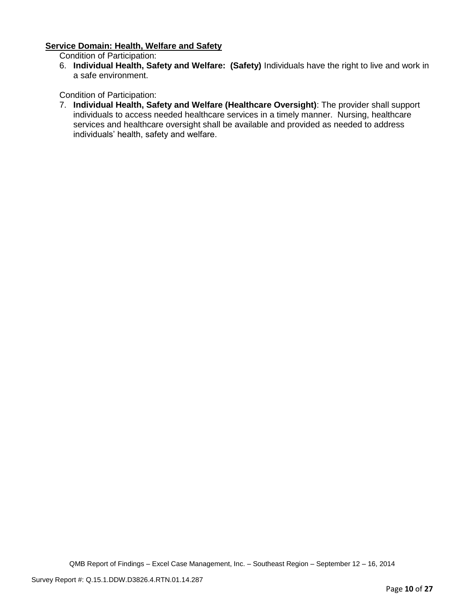### **Service Domain: Health, Welfare and Safety**

Condition of Participation:

6. **Individual Health, Safety and Welfare: (Safety)** Individuals have the right to live and work in a safe environment.

Condition of Participation:

7. **Individual Health, Safety and Welfare (Healthcare Oversight)**: The provider shall support individuals to access needed healthcare services in a timely manner. Nursing, healthcare services and healthcare oversight shall be available and provided as needed to address individuals' health, safety and welfare.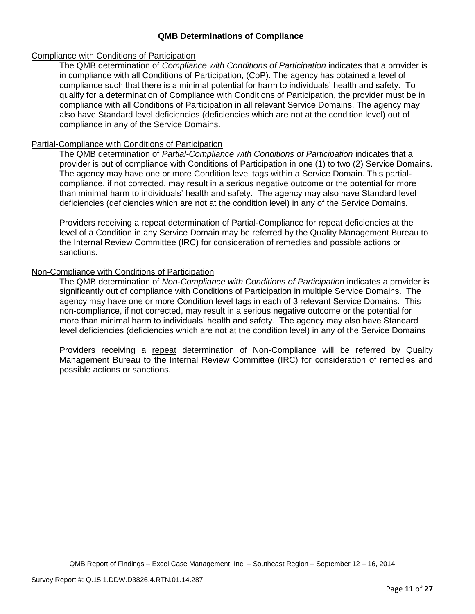## **QMB Determinations of Compliance**

### Compliance with Conditions of Participation

The QMB determination of *Compliance with Conditions of Participation* indicates that a provider is in compliance with all Conditions of Participation, (CoP). The agency has obtained a level of compliance such that there is a minimal potential for harm to individuals' health and safety. To qualify for a determination of Compliance with Conditions of Participation, the provider must be in compliance with all Conditions of Participation in all relevant Service Domains. The agency may also have Standard level deficiencies (deficiencies which are not at the condition level) out of compliance in any of the Service Domains.

## Partial-Compliance with Conditions of Participation

The QMB determination of *Partial-Compliance with Conditions of Participation* indicates that a provider is out of compliance with Conditions of Participation in one (1) to two (2) Service Domains. The agency may have one or more Condition level tags within a Service Domain. This partialcompliance, if not corrected, may result in a serious negative outcome or the potential for more than minimal harm to individuals' health and safety. The agency may also have Standard level deficiencies (deficiencies which are not at the condition level) in any of the Service Domains.

Providers receiving a repeat determination of Partial-Compliance for repeat deficiencies at the level of a Condition in any Service Domain may be referred by the Quality Management Bureau to the Internal Review Committee (IRC) for consideration of remedies and possible actions or sanctions.

## Non-Compliance with Conditions of Participation

The QMB determination of *Non-Compliance with Conditions of Participation* indicates a provider is significantly out of compliance with Conditions of Participation in multiple Service Domains. The agency may have one or more Condition level tags in each of 3 relevant Service Domains. This non-compliance, if not corrected, may result in a serious negative outcome or the potential for more than minimal harm to individuals' health and safety. The agency may also have Standard level deficiencies (deficiencies which are not at the condition level) in any of the Service Domains

Providers receiving a repeat determination of Non-Compliance will be referred by Quality Management Bureau to the Internal Review Committee (IRC) for consideration of remedies and possible actions or sanctions.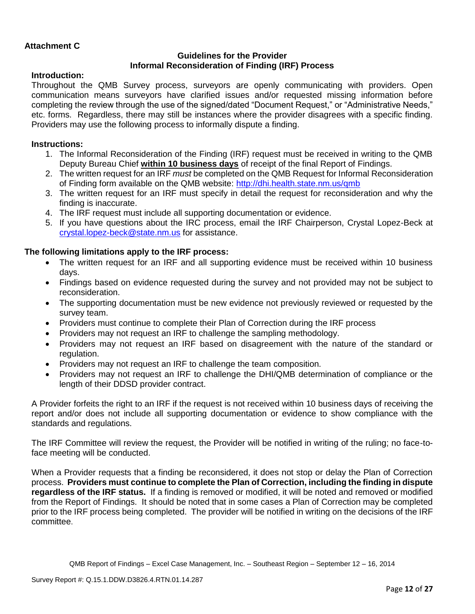## **Attachment C**

### **Guidelines for the Provider Informal Reconsideration of Finding (IRF) Process**

### **Introduction:**

Throughout the QMB Survey process, surveyors are openly communicating with providers. Open communication means surveyors have clarified issues and/or requested missing information before completing the review through the use of the signed/dated "Document Request," or "Administrative Needs," etc. forms. Regardless, there may still be instances where the provider disagrees with a specific finding. Providers may use the following process to informally dispute a finding.

### **Instructions:**

- 1. The Informal Reconsideration of the Finding (IRF) request must be received in writing to the QMB Deputy Bureau Chief **within 10 business days** of receipt of the final Report of Findings.
- 2. The written request for an IRF *must* be completed on the QMB Request for Informal Reconsideration of Finding form available on the QMB website:<http://dhi.health.state.nm.us/qmb>
- 3. The written request for an IRF must specify in detail the request for reconsideration and why the finding is inaccurate.
- 4. The IRF request must include all supporting documentation or evidence.
- 5. If you have questions about the IRC process, email the IRF Chairperson, Crystal Lopez-Beck at [crystal.lopez-beck@state.nm.us](mailto:crystal.lopez-beck@state.nm.us) for assistance.

## **The following limitations apply to the IRF process:**

- The written request for an IRF and all supporting evidence must be received within 10 business days.
- Findings based on evidence requested during the survey and not provided may not be subject to reconsideration.
- The supporting documentation must be new evidence not previously reviewed or requested by the survey team.
- Providers must continue to complete their Plan of Correction during the IRF process
- Providers may not request an IRF to challenge the sampling methodology.
- Providers may not request an IRF based on disagreement with the nature of the standard or regulation.
- Providers may not request an IRF to challenge the team composition.
- Providers may not request an IRF to challenge the DHI/QMB determination of compliance or the length of their DDSD provider contract.

A Provider forfeits the right to an IRF if the request is not received within 10 business days of receiving the report and/or does not include all supporting documentation or evidence to show compliance with the standards and regulations.

The IRF Committee will review the request, the Provider will be notified in writing of the ruling; no face-toface meeting will be conducted.

When a Provider requests that a finding be reconsidered, it does not stop or delay the Plan of Correction process. **Providers must continue to complete the Plan of Correction, including the finding in dispute regardless of the IRF status.** If a finding is removed or modified, it will be noted and removed or modified from the Report of Findings. It should be noted that in some cases a Plan of Correction may be completed prior to the IRF process being completed. The provider will be notified in writing on the decisions of the IRF committee.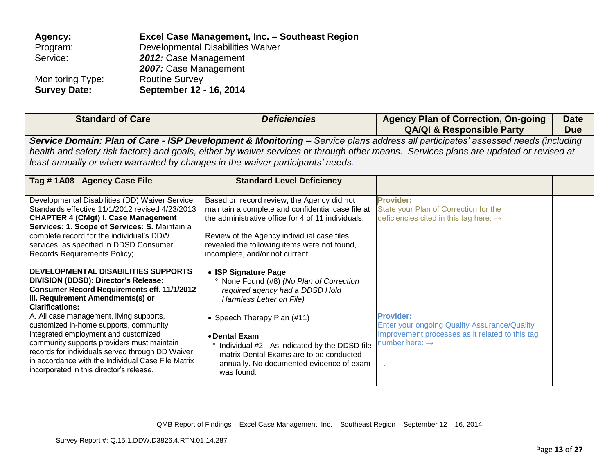| Agency:             | Excel Case Management, Inc. - Southeast Region |
|---------------------|------------------------------------------------|
| Program:            | Developmental Disabilities Waiver              |
| Service:            | 2012: Case Management                          |
|                     | 2007: Case Management                          |
| Monitoring Type:    | <b>Routine Survey</b>                          |
| <b>Survey Date:</b> | September 12 - 16, 2014                        |

| <b>Standard of Care</b>                                                                                                                                                                                                                                                                                                                                                                                                                                                                                                            | <b>Deficiencies</b>                                                                                                                                                                                                                                                                                                                   | <b>Agency Plan of Correction, On-going</b><br><b>QA/QI &amp; Responsible Party</b>                                                                                                                                                                                       | <b>Date</b><br>Due |
|------------------------------------------------------------------------------------------------------------------------------------------------------------------------------------------------------------------------------------------------------------------------------------------------------------------------------------------------------------------------------------------------------------------------------------------------------------------------------------------------------------------------------------|---------------------------------------------------------------------------------------------------------------------------------------------------------------------------------------------------------------------------------------------------------------------------------------------------------------------------------------|--------------------------------------------------------------------------------------------------------------------------------------------------------------------------------------------------------------------------------------------------------------------------|--------------------|
| least annually or when warranted by changes in the waiver participants' needs.                                                                                                                                                                                                                                                                                                                                                                                                                                                     |                                                                                                                                                                                                                                                                                                                                       | Service Domain: Plan of Care - ISP Development & Monitoring – Service plans address all participates' assessed needs (including<br>health and safety risk factors) and goals, either by waiver services or through other means. Services plans are updated or revised at |                    |
| Tag #1A08 Agency Case File                                                                                                                                                                                                                                                                                                                                                                                                                                                                                                         | <b>Standard Level Deficiency</b>                                                                                                                                                                                                                                                                                                      |                                                                                                                                                                                                                                                                          |                    |
| Developmental Disabilities (DD) Waiver Service<br>Standards effective 11/1/2012 revised 4/23/2013<br><b>CHAPTER 4 (CMgt) I. Case Management</b><br>Services: 1. Scope of Services: S. Maintain a<br>complete record for the individual's DDW<br>services, as specified in DDSD Consumer<br>Records Requirements Policy;                                                                                                                                                                                                            | Based on record review, the Agency did not<br>maintain a complete and confidential case file at<br>the administrative office for 4 of 11 individuals.<br>Review of the Agency individual case files<br>revealed the following items were not found,<br>incomplete, and/or not current:                                                | <b>Provider:</b><br>State your Plan of Correction for the<br>deficiencies cited in this tag here: $\rightarrow$                                                                                                                                                          |                    |
| DEVELOPMENTAL DISABILITIES SUPPORTS<br>DIVISION (DDSD): Director's Release:<br><b>Consumer Record Requirements eff. 11/1/2012</b><br>III. Requirement Amendments(s) or<br><b>Clarifications:</b><br>A. All case management, living supports,<br>customized in-home supports, community<br>integrated employment and customized<br>community supports providers must maintain<br>records for individuals served through DD Waiver<br>in accordance with the Individual Case File Matrix<br>incorporated in this director's release. | • ISP Signature Page<br>None Found (#8) (No Plan of Correction<br>required agency had a DDSD Hold<br>Harmless Letter on File)<br>• Speech Therapy Plan (#11)<br>• Dental Exam<br>° Individual #2 - As indicated by the DDSD file<br>matrix Dental Exams are to be conducted<br>annually. No documented evidence of exam<br>was found. | <b>Provider:</b><br>Enter your ongoing Quality Assurance/Quality<br>Improvement processes as it related to this tag<br>number here: $\rightarrow$                                                                                                                        |                    |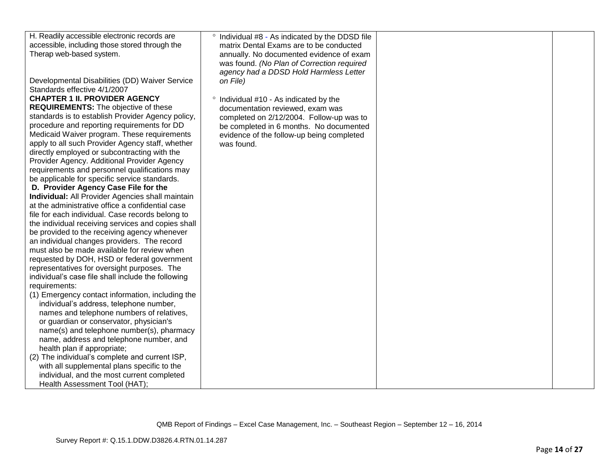| H. Readily accessible electronic records are                                         | ° Individual #8 - As indicated by the DDSD file |  |
|--------------------------------------------------------------------------------------|-------------------------------------------------|--|
| accessible, including those stored through the                                       | matrix Dental Exams are to be conducted         |  |
| Therap web-based system.                                                             | annually. No documented evidence of exam        |  |
|                                                                                      | was found. (No Plan of Correction required      |  |
|                                                                                      | agency had a DDSD Hold Harmless Letter          |  |
| Developmental Disabilities (DD) Waiver Service                                       | on File)                                        |  |
| Standards effective 4/1/2007                                                         |                                                 |  |
| <b>CHAPTER 1 II. PROVIDER AGENCY</b>                                                 | ° Individual #10 - As indicated by the          |  |
| <b>REQUIREMENTS:</b> The objective of these                                          | documentation reviewed, exam was                |  |
| standards is to establish Provider Agency policy,                                    | completed on 2/12/2004. Follow-up was to        |  |
| procedure and reporting requirements for DD                                          | be completed in 6 months. No documented         |  |
| Medicaid Waiver program. These requirements                                          | evidence of the follow-up being completed       |  |
| apply to all such Provider Agency staff, whether                                     | was found.                                      |  |
| directly employed or subcontracting with the                                         |                                                 |  |
| Provider Agency. Additional Provider Agency                                          |                                                 |  |
| requirements and personnel qualifications may                                        |                                                 |  |
| be applicable for specific service standards.                                        |                                                 |  |
| D. Provider Agency Case File for the                                                 |                                                 |  |
| Individual: All Provider Agencies shall maintain                                     |                                                 |  |
| at the administrative office a confidential case                                     |                                                 |  |
| file for each individual. Case records belong to                                     |                                                 |  |
| the individual receiving services and copies shall                                   |                                                 |  |
| be provided to the receiving agency whenever                                         |                                                 |  |
| an individual changes providers. The record                                          |                                                 |  |
| must also be made available for review when                                          |                                                 |  |
| requested by DOH, HSD or federal government                                          |                                                 |  |
| representatives for oversight purposes. The                                          |                                                 |  |
| individual's case file shall include the following                                   |                                                 |  |
| requirements:                                                                        |                                                 |  |
| (1) Emergency contact information, including the                                     |                                                 |  |
| individual's address, telephone number,                                              |                                                 |  |
| names and telephone numbers of relatives,                                            |                                                 |  |
| or guardian or conservator, physician's<br>name(s) and telephone number(s), pharmacy |                                                 |  |
| name, address and telephone number, and                                              |                                                 |  |
| health plan if appropriate;                                                          |                                                 |  |
| (2) The individual's complete and current ISP,                                       |                                                 |  |
| with all supplemental plans specific to the                                          |                                                 |  |
| individual, and the most current completed                                           |                                                 |  |
| Health Assessment Tool (HAT);                                                        |                                                 |  |
|                                                                                      |                                                 |  |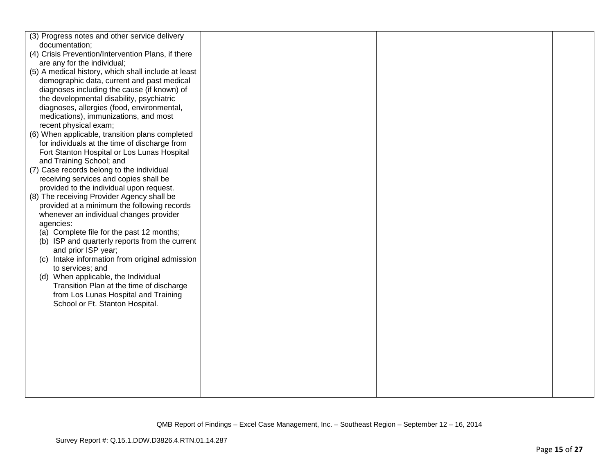| (3) Progress notes and other service delivery       |  |  |
|-----------------------------------------------------|--|--|
| documentation;                                      |  |  |
| (4) Crisis Prevention/Intervention Plans, if there  |  |  |
| are any for the individual;                         |  |  |
| (5) A medical history, which shall include at least |  |  |
| demographic data, current and past medical          |  |  |
| diagnoses including the cause (if known) of         |  |  |
| the developmental disability, psychiatric           |  |  |
| diagnoses, allergies (food, environmental,          |  |  |
| medications), immunizations, and most               |  |  |
| recent physical exam;                               |  |  |
| (6) When applicable, transition plans completed     |  |  |
| for individuals at the time of discharge from       |  |  |
| Fort Stanton Hospital or Los Lunas Hospital         |  |  |
| and Training School; and                            |  |  |
| (7) Case records belong to the individual           |  |  |
| receiving services and copies shall be              |  |  |
| provided to the individual upon request.            |  |  |
| (8) The receiving Provider Agency shall be          |  |  |
| provided at a minimum the following records         |  |  |
| whenever an individual changes provider             |  |  |
| agencies:                                           |  |  |
| (a) Complete file for the past 12 months;           |  |  |
| (b) ISP and quarterly reports from the current      |  |  |
| and prior ISP year;                                 |  |  |
| (c) Intake information from original admission      |  |  |
| to services; and                                    |  |  |
| (d) When applicable, the Individual                 |  |  |
| Transition Plan at the time of discharge            |  |  |
| from Los Lunas Hospital and Training                |  |  |
| School or Ft. Stanton Hospital.                     |  |  |
|                                                     |  |  |
|                                                     |  |  |
|                                                     |  |  |
|                                                     |  |  |
|                                                     |  |  |
|                                                     |  |  |
|                                                     |  |  |
|                                                     |  |  |
|                                                     |  |  |
|                                                     |  |  |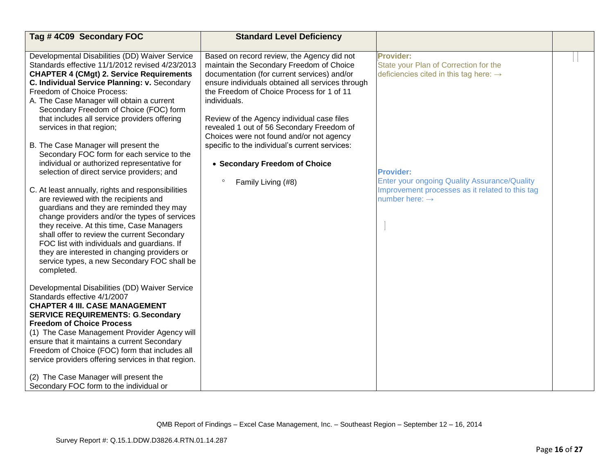| Tag #4C09 Secondary FOC                                                                                                                                                                                                                                                                                                                                                                                                                                                                                                                                                                                                                                                         | <b>Standard Level Deficiency</b>                                                                                                                                                                                                                                                                                                                                                                                                                         |                                                                                                                                                                                                                                                         |  |
|---------------------------------------------------------------------------------------------------------------------------------------------------------------------------------------------------------------------------------------------------------------------------------------------------------------------------------------------------------------------------------------------------------------------------------------------------------------------------------------------------------------------------------------------------------------------------------------------------------------------------------------------------------------------------------|----------------------------------------------------------------------------------------------------------------------------------------------------------------------------------------------------------------------------------------------------------------------------------------------------------------------------------------------------------------------------------------------------------------------------------------------------------|---------------------------------------------------------------------------------------------------------------------------------------------------------------------------------------------------------------------------------------------------------|--|
| Developmental Disabilities (DD) Waiver Service                                                                                                                                                                                                                                                                                                                                                                                                                                                                                                                                                                                                                                  | Based on record review, the Agency did not                                                                                                                                                                                                                                                                                                                                                                                                               | <b>Provider:</b>                                                                                                                                                                                                                                        |  |
| Standards effective 11/1/2012 revised 4/23/2013<br><b>CHAPTER 4 (CMgt) 2. Service Requirements</b><br>C. Individual Service Planning: v. Secondary<br>Freedom of Choice Process:<br>A. The Case Manager will obtain a current<br>Secondary Freedom of Choice (FOC) form<br>that includes all service providers offering<br>services in that region;<br>B. The Case Manager will present the<br>Secondary FOC form for each service to the<br>individual or authorized representative for<br>selection of direct service providers; and<br>C. At least annually, rights and responsibilities<br>are reviewed with the recipients and<br>guardians and they are reminded they may | maintain the Secondary Freedom of Choice<br>documentation (for current services) and/or<br>ensure individuals obtained all services through<br>the Freedom of Choice Process for 1 of 11<br>individuals.<br>Review of the Agency individual case files<br>revealed 1 out of 56 Secondary Freedom of<br>Choices were not found and/or not agency<br>specific to the individual's current services:<br>• Secondary Freedom of Choice<br>Family Living (#8) | State your Plan of Correction for the<br>deficiencies cited in this tag here: $\rightarrow$<br><b>Provider:</b><br><b>Enter your ongoing Quality Assurance/Quality</b><br>Improvement processes as it related to this tag<br>number here: $\rightarrow$ |  |
| change providers and/or the types of services<br>they receive. At this time, Case Managers<br>shall offer to review the current Secondary<br>FOC list with individuals and guardians. If<br>they are interested in changing providers or<br>service types, a new Secondary FOC shall be<br>completed.<br>Developmental Disabilities (DD) Waiver Service                                                                                                                                                                                                                                                                                                                         |                                                                                                                                                                                                                                                                                                                                                                                                                                                          |                                                                                                                                                                                                                                                         |  |
| Standards effective 4/1/2007<br><b>CHAPTER 4 III. CASE MANAGEMENT</b><br><b>SERVICE REQUIREMENTS: G.Secondary</b><br><b>Freedom of Choice Process</b>                                                                                                                                                                                                                                                                                                                                                                                                                                                                                                                           |                                                                                                                                                                                                                                                                                                                                                                                                                                                          |                                                                                                                                                                                                                                                         |  |
| (1) The Case Management Provider Agency will<br>ensure that it maintains a current Secondary<br>Freedom of Choice (FOC) form that includes all<br>service providers offering services in that region.                                                                                                                                                                                                                                                                                                                                                                                                                                                                           |                                                                                                                                                                                                                                                                                                                                                                                                                                                          |                                                                                                                                                                                                                                                         |  |
| (2) The Case Manager will present the<br>Secondary FOC form to the individual or                                                                                                                                                                                                                                                                                                                                                                                                                                                                                                                                                                                                |                                                                                                                                                                                                                                                                                                                                                                                                                                                          |                                                                                                                                                                                                                                                         |  |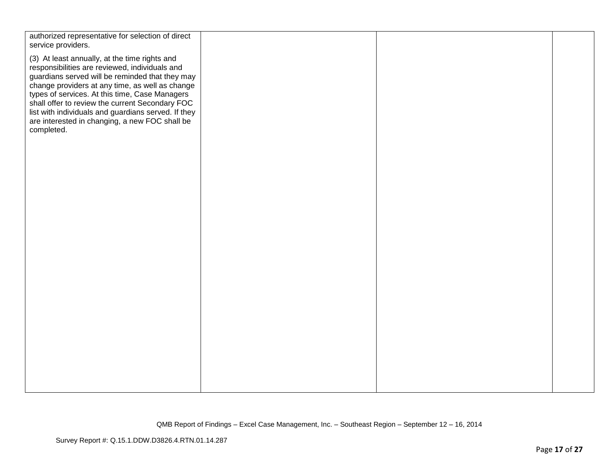| authorized representative for selection of direct<br>service providers.                                                                                                                                                                                                                                                                                                                                                           |  |  |
|-----------------------------------------------------------------------------------------------------------------------------------------------------------------------------------------------------------------------------------------------------------------------------------------------------------------------------------------------------------------------------------------------------------------------------------|--|--|
| (3) At least annually, at the time rights and<br>responsibilities are reviewed, individuals and<br>guardians served will be reminded that they may<br>change providers at any time, as well as change<br>types of services. At this time, Case Managers<br>shall offer to review the current Secondary FOC<br>list with individuals and guardians served. If they<br>are interested in changing, a new FOC shall be<br>completed. |  |  |
|                                                                                                                                                                                                                                                                                                                                                                                                                                   |  |  |
|                                                                                                                                                                                                                                                                                                                                                                                                                                   |  |  |
|                                                                                                                                                                                                                                                                                                                                                                                                                                   |  |  |
|                                                                                                                                                                                                                                                                                                                                                                                                                                   |  |  |
|                                                                                                                                                                                                                                                                                                                                                                                                                                   |  |  |
|                                                                                                                                                                                                                                                                                                                                                                                                                                   |  |  |
|                                                                                                                                                                                                                                                                                                                                                                                                                                   |  |  |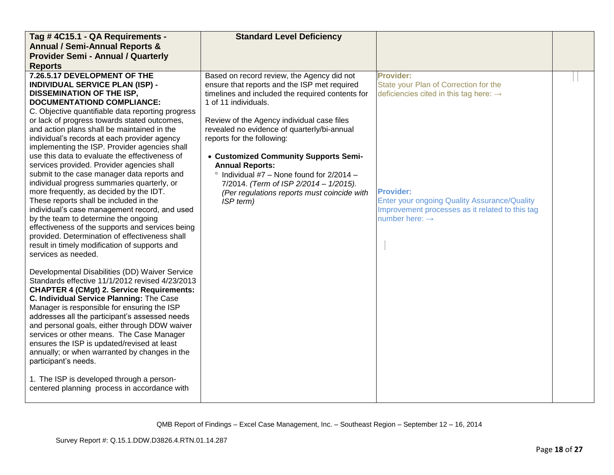| Tag #4C15.1 - QA Requirements -                                                                                                                                                                                                                                                                                                                                                                                                                                                                                                                                                                                                                                                                                                                                                                                                                                                                                                                         | <b>Standard Level Deficiency</b>                                                                                                                                                                                                                                                                                                                                                                                                                                                                                                |                                                                                                                                                                                                                                                                      |  |
|---------------------------------------------------------------------------------------------------------------------------------------------------------------------------------------------------------------------------------------------------------------------------------------------------------------------------------------------------------------------------------------------------------------------------------------------------------------------------------------------------------------------------------------------------------------------------------------------------------------------------------------------------------------------------------------------------------------------------------------------------------------------------------------------------------------------------------------------------------------------------------------------------------------------------------------------------------|---------------------------------------------------------------------------------------------------------------------------------------------------------------------------------------------------------------------------------------------------------------------------------------------------------------------------------------------------------------------------------------------------------------------------------------------------------------------------------------------------------------------------------|----------------------------------------------------------------------------------------------------------------------------------------------------------------------------------------------------------------------------------------------------------------------|--|
| <b>Annual / Semi-Annual Reports &amp;</b>                                                                                                                                                                                                                                                                                                                                                                                                                                                                                                                                                                                                                                                                                                                                                                                                                                                                                                               |                                                                                                                                                                                                                                                                                                                                                                                                                                                                                                                                 |                                                                                                                                                                                                                                                                      |  |
| <b>Provider Semi - Annual / Quarterly</b>                                                                                                                                                                                                                                                                                                                                                                                                                                                                                                                                                                                                                                                                                                                                                                                                                                                                                                               |                                                                                                                                                                                                                                                                                                                                                                                                                                                                                                                                 |                                                                                                                                                                                                                                                                      |  |
| <b>Reports</b>                                                                                                                                                                                                                                                                                                                                                                                                                                                                                                                                                                                                                                                                                                                                                                                                                                                                                                                                          |                                                                                                                                                                                                                                                                                                                                                                                                                                                                                                                                 |                                                                                                                                                                                                                                                                      |  |
| 7.26.5.17 DEVELOPMENT OF THE<br><b>INDIVIDUAL SERVICE PLAN (ISP) -</b><br><b>DISSEMINATION OF THE ISP,</b><br>DOCUMENTATIOND COMPLIANCE:<br>C. Objective quantifiable data reporting progress<br>or lack of progress towards stated outcomes,<br>and action plans shall be maintained in the<br>individual's records at each provider agency<br>implementing the ISP. Provider agencies shall<br>use this data to evaluate the effectiveness of<br>services provided. Provider agencies shall<br>submit to the case manager data reports and<br>individual progress summaries quarterly, or<br>more frequently, as decided by the IDT.<br>These reports shall be included in the<br>individual's case management record, and used<br>by the team to determine the ongoing<br>effectiveness of the supports and services being<br>provided. Determination of effectiveness shall<br>result in timely modification of supports and<br>services as needed. | Based on record review, the Agency did not<br>ensure that reports and the ISP met required<br>timelines and included the required contents for<br>1 of 11 individuals.<br>Review of the Agency individual case files<br>revealed no evidence of quarterly/bi-annual<br>reports for the following:<br>• Customized Community Supports Semi-<br><b>Annual Reports:</b><br>$\degree$ Individual #7 - None found for 2/2014 -<br>7/2014. (Term of ISP 2/2014 - 1/2015).<br>(Per regulations reports must coincide with<br>ISP term) | <b>Provider:</b><br>State your Plan of Correction for the<br>deficiencies cited in this tag here: $\rightarrow$<br><b>Provider:</b><br>Enter your ongoing Quality Assurance/Quality<br>Improvement processes as it related to this tag<br>number here: $\rightarrow$ |  |
| Developmental Disabilities (DD) Waiver Service<br>Standards effective 11/1/2012 revised 4/23/2013<br><b>CHAPTER 4 (CMgt) 2. Service Requirements:</b><br>C. Individual Service Planning: The Case<br>Manager is responsible for ensuring the ISP<br>addresses all the participant's assessed needs<br>and personal goals, either through DDW waiver<br>services or other means. The Case Manager<br>ensures the ISP is updated/revised at least<br>annually; or when warranted by changes in the<br>participant's needs.<br>1. The ISP is developed through a person-<br>centered planning process in accordance with                                                                                                                                                                                                                                                                                                                                   |                                                                                                                                                                                                                                                                                                                                                                                                                                                                                                                                 |                                                                                                                                                                                                                                                                      |  |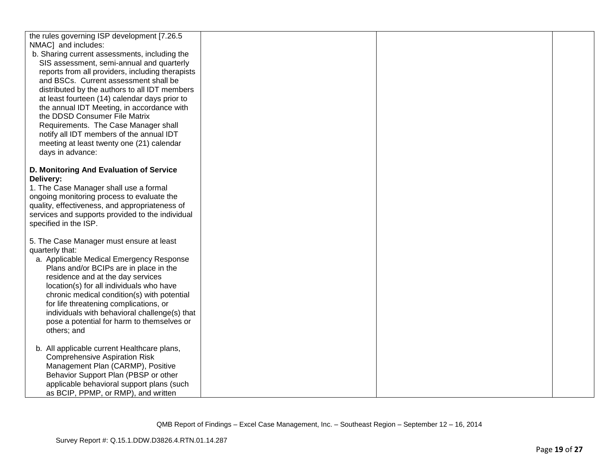| the rules governing ISP development [7.26.5                                                  |  |  |
|----------------------------------------------------------------------------------------------|--|--|
| NMAC] and includes:                                                                          |  |  |
| b. Sharing current assessments, including the                                                |  |  |
| SIS assessment, semi-annual and quarterly                                                    |  |  |
| reports from all providers, including therapists                                             |  |  |
| and BSCs. Current assessment shall be                                                        |  |  |
| distributed by the authors to all IDT members                                                |  |  |
| at least fourteen (14) calendar days prior to                                                |  |  |
| the annual IDT Meeting, in accordance with                                                   |  |  |
| the DDSD Consumer File Matrix                                                                |  |  |
| Requirements. The Case Manager shall                                                         |  |  |
| notify all IDT members of the annual IDT                                                     |  |  |
| meeting at least twenty one (21) calendar                                                    |  |  |
| days in advance:                                                                             |  |  |
|                                                                                              |  |  |
| D. Monitoring And Evaluation of Service                                                      |  |  |
| Delivery:                                                                                    |  |  |
| 1. The Case Manager shall use a formal                                                       |  |  |
| ongoing monitoring process to evaluate the<br>quality, effectiveness, and appropriateness of |  |  |
| services and supports provided to the individual                                             |  |  |
| specified in the ISP.                                                                        |  |  |
|                                                                                              |  |  |
| 5. The Case Manager must ensure at least                                                     |  |  |
| quarterly that:                                                                              |  |  |
| a. Applicable Medical Emergency Response                                                     |  |  |
| Plans and/or BCIPs are in place in the                                                       |  |  |
| residence and at the day services                                                            |  |  |
| location(s) for all individuals who have                                                     |  |  |
| chronic medical condition(s) with potential                                                  |  |  |
| for life threatening complications, or                                                       |  |  |
| individuals with behavioral challenge(s) that                                                |  |  |
| pose a potential for harm to themselves or                                                   |  |  |
| others; and                                                                                  |  |  |
|                                                                                              |  |  |
| b. All applicable current Healthcare plans,                                                  |  |  |
| <b>Comprehensive Aspiration Risk</b>                                                         |  |  |
| Management Plan (CARMP), Positive                                                            |  |  |
| Behavior Support Plan (PBSP or other                                                         |  |  |
| applicable behavioral support plans (such                                                    |  |  |
| as BCIP, PPMP, or RMP), and written                                                          |  |  |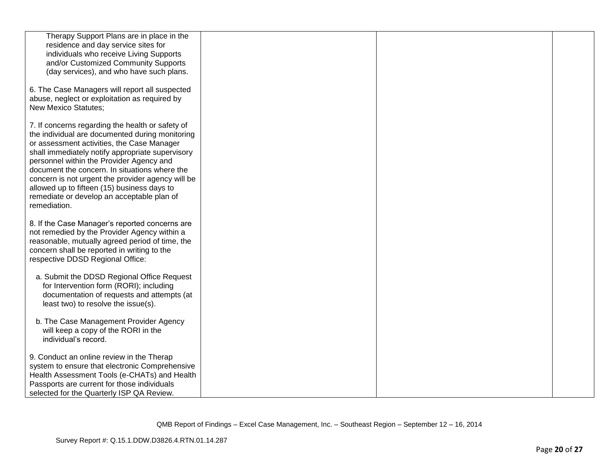| Therapy Support Plans are in place in the<br>residence and day service sites for<br>individuals who receive Living Supports                                                                                                                                                                                                                                                                                                                                          |  |  |
|----------------------------------------------------------------------------------------------------------------------------------------------------------------------------------------------------------------------------------------------------------------------------------------------------------------------------------------------------------------------------------------------------------------------------------------------------------------------|--|--|
| and/or Customized Community Supports<br>(day services), and who have such plans.                                                                                                                                                                                                                                                                                                                                                                                     |  |  |
| 6. The Case Managers will report all suspected<br>abuse, neglect or exploitation as required by<br><b>New Mexico Statutes;</b>                                                                                                                                                                                                                                                                                                                                       |  |  |
| 7. If concerns regarding the health or safety of<br>the individual are documented during monitoring<br>or assessment activities, the Case Manager<br>shall immediately notify appropriate supervisory<br>personnel within the Provider Agency and<br>document the concern. In situations where the<br>concern is not urgent the provider agency will be<br>allowed up to fifteen (15) business days to<br>remediate or develop an acceptable plan of<br>remediation. |  |  |
| 8. If the Case Manager's reported concerns are<br>not remedied by the Provider Agency within a<br>reasonable, mutually agreed period of time, the<br>concern shall be reported in writing to the<br>respective DDSD Regional Office:                                                                                                                                                                                                                                 |  |  |
| a. Submit the DDSD Regional Office Request<br>for Intervention form (RORI); including<br>documentation of requests and attempts (at<br>least two) to resolve the issue(s).                                                                                                                                                                                                                                                                                           |  |  |
| b. The Case Management Provider Agency<br>will keep a copy of the RORI in the<br>individual's record.                                                                                                                                                                                                                                                                                                                                                                |  |  |
| 9. Conduct an online review in the Therap<br>system to ensure that electronic Comprehensive<br>Health Assessment Tools (e-CHATs) and Health<br>Passports are current for those individuals<br>selected for the Quarterly ISP QA Review.                                                                                                                                                                                                                              |  |  |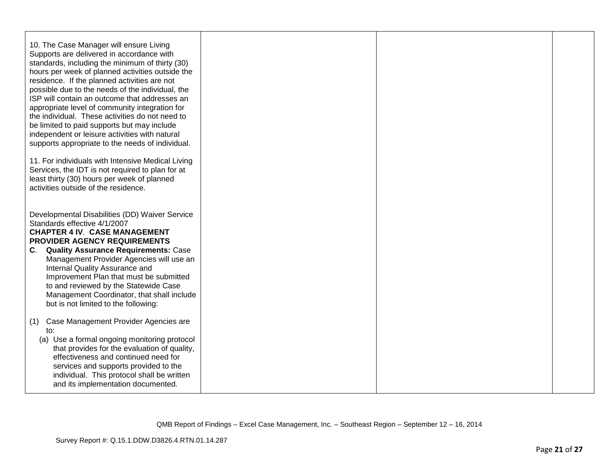| 10. The Case Manager will ensure Living<br>Supports are delivered in accordance with<br>standards, including the minimum of thirty (30)<br>hours per week of planned activities outside the<br>residence. If the planned activities are not<br>possible due to the needs of the individual, the<br>ISP will contain an outcome that addresses an<br>appropriate level of community integration for<br>the individual. These activities do not need to<br>be limited to paid supports but may include<br>independent or leisure activities with natural<br>supports appropriate to the needs of individual.<br>11. For individuals with Intensive Medical Living<br>Services, the IDT is not required to plan for at |  |  |
|---------------------------------------------------------------------------------------------------------------------------------------------------------------------------------------------------------------------------------------------------------------------------------------------------------------------------------------------------------------------------------------------------------------------------------------------------------------------------------------------------------------------------------------------------------------------------------------------------------------------------------------------------------------------------------------------------------------------|--|--|
| least thirty (30) hours per week of planned<br>activities outside of the residence.                                                                                                                                                                                                                                                                                                                                                                                                                                                                                                                                                                                                                                 |  |  |
| Developmental Disabilities (DD) Waiver Service<br>Standards effective 4/1/2007<br><b>CHAPTER 4 IV. CASE MANAGEMENT</b><br><b>PROVIDER AGENCY REQUIREMENTS</b><br><b>Quality Assurance Requirements: Case</b><br>C.<br>Management Provider Agencies will use an<br>Internal Quality Assurance and<br>Improvement Plan that must be submitted<br>to and reviewed by the Statewide Case                                                                                                                                                                                                                                                                                                                                |  |  |
| Management Coordinator, that shall include<br>but is not limited to the following:                                                                                                                                                                                                                                                                                                                                                                                                                                                                                                                                                                                                                                  |  |  |
| Case Management Provider Agencies are<br>(1)<br>to:<br>(a) Use a formal ongoing monitoring protocol<br>that provides for the evaluation of quality,<br>effectiveness and continued need for<br>services and supports provided to the<br>individual. This protocol shall be written<br>and its implementation documented.                                                                                                                                                                                                                                                                                                                                                                                            |  |  |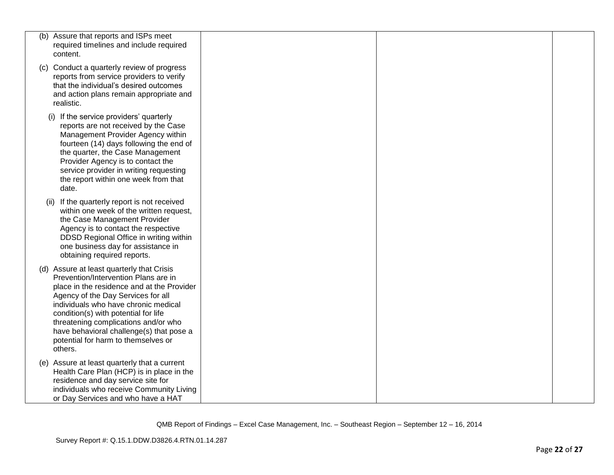| (b) Assure that reports and ISPs meet<br>required timelines and include required<br>content.                                                                                                                                                                                                                                                                                                |  |  |
|---------------------------------------------------------------------------------------------------------------------------------------------------------------------------------------------------------------------------------------------------------------------------------------------------------------------------------------------------------------------------------------------|--|--|
| (c) Conduct a quarterly review of progress<br>reports from service providers to verify<br>that the individual's desired outcomes<br>and action plans remain appropriate and<br>realistic.                                                                                                                                                                                                   |  |  |
| If the service providers' quarterly<br>(i)<br>reports are not received by the Case<br>Management Provider Agency within<br>fourteen (14) days following the end of<br>the quarter, the Case Management<br>Provider Agency is to contact the<br>service provider in writing requesting<br>the report within one week from that<br>date.                                                      |  |  |
| If the quarterly report is not received<br>(ii)<br>within one week of the written request,<br>the Case Management Provider<br>Agency is to contact the respective<br>DDSD Regional Office in writing within<br>one business day for assistance in<br>obtaining required reports.                                                                                                            |  |  |
| (d) Assure at least quarterly that Crisis<br>Prevention/Intervention Plans are in<br>place in the residence and at the Provider<br>Agency of the Day Services for all<br>individuals who have chronic medical<br>condition(s) with potential for life<br>threatening complications and/or who<br>have behavioral challenge(s) that pose a<br>potential for harm to themselves or<br>others. |  |  |
| (e) Assure at least quarterly that a current<br>Health Care Plan (HCP) is in place in the<br>residence and day service site for<br>individuals who receive Community Living<br>or Day Services and who have a HAT                                                                                                                                                                           |  |  |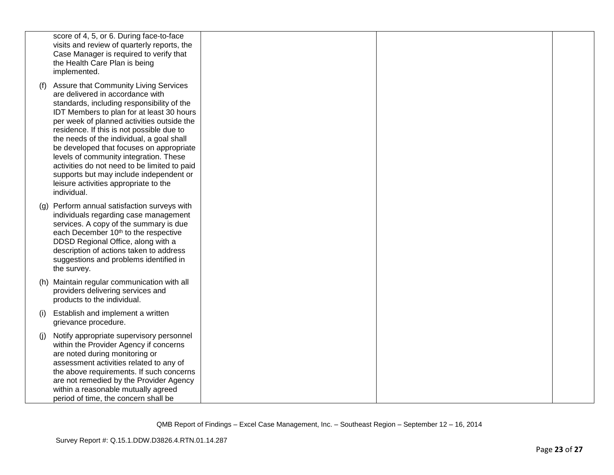|     | score of 4, 5, or 6. During face-to-face<br>visits and review of quarterly reports, the<br>Case Manager is required to verify that<br>the Health Care Plan is being<br>implemented.                                                                                                                                                                                                                                                                                                                                                                          |  |  |
|-----|--------------------------------------------------------------------------------------------------------------------------------------------------------------------------------------------------------------------------------------------------------------------------------------------------------------------------------------------------------------------------------------------------------------------------------------------------------------------------------------------------------------------------------------------------------------|--|--|
| (t) | <b>Assure that Community Living Services</b><br>are delivered in accordance with<br>standards, including responsibility of the<br>IDT Members to plan for at least 30 hours<br>per week of planned activities outside the<br>residence. If this is not possible due to<br>the needs of the individual, a goal shall<br>be developed that focuses on appropriate<br>levels of community integration. These<br>activities do not need to be limited to paid<br>supports but may include independent or<br>leisure activities appropriate to the<br>individual. |  |  |
|     | (g) Perform annual satisfaction surveys with<br>individuals regarding case management<br>services. A copy of the summary is due<br>each December 10 <sup>th</sup> to the respective<br>DDSD Regional Office, along with a<br>description of actions taken to address<br>suggestions and problems identified in<br>the survey.                                                                                                                                                                                                                                |  |  |
|     | (h) Maintain regular communication with all<br>providers delivering services and<br>products to the individual.                                                                                                                                                                                                                                                                                                                                                                                                                                              |  |  |
| (i) | Establish and implement a written<br>grievance procedure.                                                                                                                                                                                                                                                                                                                                                                                                                                                                                                    |  |  |
| (i) | Notify appropriate supervisory personnel<br>within the Provider Agency if concerns<br>are noted during monitoring or<br>assessment activities related to any of<br>the above requirements. If such concerns<br>are not remedied by the Provider Agency<br>within a reasonable mutually agreed<br>period of time, the concern shall be                                                                                                                                                                                                                        |  |  |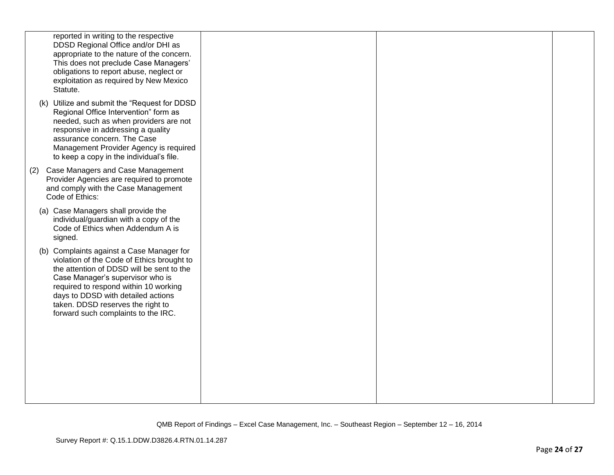| reported in writing to the respective<br>DDSD Regional Office and/or DHI as<br>appropriate to the nature of the concern.<br>This does not preclude Case Managers'<br>obligations to report abuse, neglect or<br>exploitation as required by New Mexico<br>Statute.                                                                  |  |  |
|-------------------------------------------------------------------------------------------------------------------------------------------------------------------------------------------------------------------------------------------------------------------------------------------------------------------------------------|--|--|
| (k) Utilize and submit the "Request for DDSD<br>Regional Office Intervention" form as<br>needed, such as when providers are not<br>responsive in addressing a quality<br>assurance concern. The Case<br>Management Provider Agency is required<br>to keep a copy in the individual's file.                                          |  |  |
| (2) Case Managers and Case Management<br>Provider Agencies are required to promote<br>and comply with the Case Management<br>Code of Ethics:                                                                                                                                                                                        |  |  |
| (a) Case Managers shall provide the<br>individual/guardian with a copy of the<br>Code of Ethics when Addendum A is<br>signed.                                                                                                                                                                                                       |  |  |
| (b) Complaints against a Case Manager for<br>violation of the Code of Ethics brought to<br>the attention of DDSD will be sent to the<br>Case Manager's supervisor who is<br>required to respond within 10 working<br>days to DDSD with detailed actions<br>taken. DDSD reserves the right to<br>forward such complaints to the IRC. |  |  |
|                                                                                                                                                                                                                                                                                                                                     |  |  |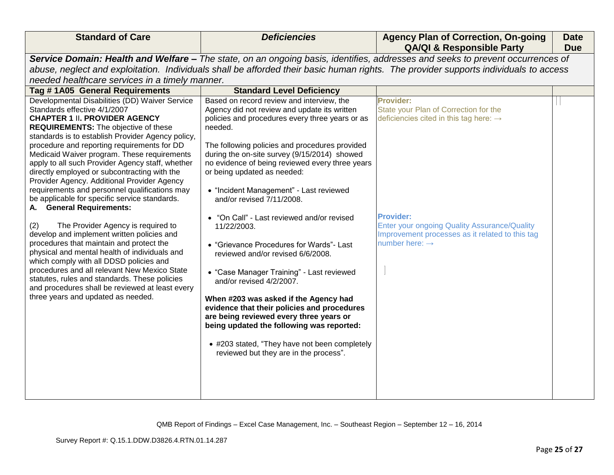| <b>Standard of Care</b>                                                                                                                                                                                                                                                                                                                                                                                                                                                                                                                                                                                                                                                                                                                                                                                                                                                                                                                                                                                                                                                  | <b>Deficiencies</b>                                                                                                                                                                                                                                                                                                                                                                                                                                                                                                                                                                                                                                                                                                                                                                                                                                                                                                                                     | <b>Agency Plan of Correction, On-going</b><br><b>QA/QI &amp; Responsible Party</b>                                                                                                                                                                                          | <b>Date</b><br><b>Due</b> |
|--------------------------------------------------------------------------------------------------------------------------------------------------------------------------------------------------------------------------------------------------------------------------------------------------------------------------------------------------------------------------------------------------------------------------------------------------------------------------------------------------------------------------------------------------------------------------------------------------------------------------------------------------------------------------------------------------------------------------------------------------------------------------------------------------------------------------------------------------------------------------------------------------------------------------------------------------------------------------------------------------------------------------------------------------------------------------|---------------------------------------------------------------------------------------------------------------------------------------------------------------------------------------------------------------------------------------------------------------------------------------------------------------------------------------------------------------------------------------------------------------------------------------------------------------------------------------------------------------------------------------------------------------------------------------------------------------------------------------------------------------------------------------------------------------------------------------------------------------------------------------------------------------------------------------------------------------------------------------------------------------------------------------------------------|-----------------------------------------------------------------------------------------------------------------------------------------------------------------------------------------------------------------------------------------------------------------------------|---------------------------|
|                                                                                                                                                                                                                                                                                                                                                                                                                                                                                                                                                                                                                                                                                                                                                                                                                                                                                                                                                                                                                                                                          |                                                                                                                                                                                                                                                                                                                                                                                                                                                                                                                                                                                                                                                                                                                                                                                                                                                                                                                                                         | Service Domain: Health and Welfare - The state, on an ongoing basis, identifies, addresses and seeks to prevent occurrences of                                                                                                                                              |                           |
|                                                                                                                                                                                                                                                                                                                                                                                                                                                                                                                                                                                                                                                                                                                                                                                                                                                                                                                                                                                                                                                                          |                                                                                                                                                                                                                                                                                                                                                                                                                                                                                                                                                                                                                                                                                                                                                                                                                                                                                                                                                         | abuse, neglect and exploitation. Individuals shall be afforded their basic human rights. The provider supports individuals to access                                                                                                                                        |                           |
| needed healthcare services in a timely manner.                                                                                                                                                                                                                                                                                                                                                                                                                                                                                                                                                                                                                                                                                                                                                                                                                                                                                                                                                                                                                           |                                                                                                                                                                                                                                                                                                                                                                                                                                                                                                                                                                                                                                                                                                                                                                                                                                                                                                                                                         |                                                                                                                                                                                                                                                                             |                           |
|                                                                                                                                                                                                                                                                                                                                                                                                                                                                                                                                                                                                                                                                                                                                                                                                                                                                                                                                                                                                                                                                          |                                                                                                                                                                                                                                                                                                                                                                                                                                                                                                                                                                                                                                                                                                                                                                                                                                                                                                                                                         |                                                                                                                                                                                                                                                                             |                           |
| Tag #1A05 General Requirements<br>Developmental Disabilities (DD) Waiver Service<br>Standards effective 4/1/2007<br><b>CHAPTER 1 II. PROVIDER AGENCY</b><br><b>REQUIREMENTS:</b> The objective of these<br>standards is to establish Provider Agency policy,<br>procedure and reporting requirements for DD<br>Medicaid Waiver program. These requirements<br>apply to all such Provider Agency staff, whether<br>directly employed or subcontracting with the<br>Provider Agency. Additional Provider Agency<br>requirements and personnel qualifications may<br>be applicable for specific service standards.<br>A. General Requirements:<br>The Provider Agency is required to<br>(2)<br>develop and implement written policies and<br>procedures that maintain and protect the<br>physical and mental health of individuals and<br>which comply with all DDSD policies and<br>procedures and all relevant New Mexico State<br>statutes, rules and standards. These policies<br>and procedures shall be reviewed at least every<br>three years and updated as needed. | <b>Standard Level Deficiency</b><br>Based on record review and interview, the<br>Agency did not review and update its written<br>policies and procedures every three years or as<br>needed.<br>The following policies and procedures provided<br>during the on-site survey (9/15/2014) showed<br>no evidence of being reviewed every three years<br>or being updated as needed:<br>• "Incident Management" - Last reviewed<br>and/or revised 7/11/2008.<br>"On Call" - Last reviewed and/or revised<br>11/22/2003.<br>• "Grievance Procedures for Wards"- Last<br>reviewed and/or revised 6/6/2008.<br>• "Case Manager Training" - Last reviewed<br>and/or revised 4/2/2007.<br>When #203 was asked if the Agency had<br>evidence that their policies and procedures<br>are being reviewed every three years or<br>being updated the following was reported:<br>• #203 stated, "They have not been completely<br>reviewed but they are in the process". | <b>Provider:</b><br>State your Plan of Correction for the<br>deficiencies cited in this tag here: $\rightarrow$<br><b>Provider:</b><br><b>Enter your ongoing Quality Assurance/Quality</b><br>Improvement processes as it related to this tag<br>number here: $\rightarrow$ |                           |
|                                                                                                                                                                                                                                                                                                                                                                                                                                                                                                                                                                                                                                                                                                                                                                                                                                                                                                                                                                                                                                                                          |                                                                                                                                                                                                                                                                                                                                                                                                                                                                                                                                                                                                                                                                                                                                                                                                                                                                                                                                                         |                                                                                                                                                                                                                                                                             |                           |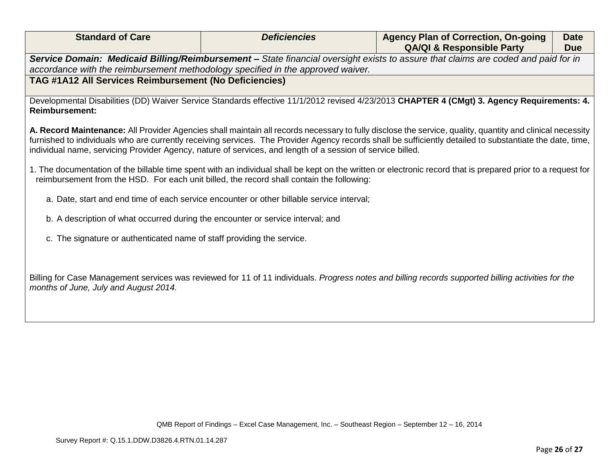| <b>Standard of Care</b> | <b>Deficiencies</b> | <b>Agency Plan of Correction, On-going</b><br><b>QA/QI &amp; Responsible Party</b>                                                | <b>Date</b><br><b>Due</b> |
|-------------------------|---------------------|-----------------------------------------------------------------------------------------------------------------------------------|---------------------------|
|                         |                     | Service Domain: Medicaid Billing/Reimbursement - State financial oversight exists to assure that claims are coded and paid for in |                           |

*Service Domain: Medicaid Billing/Reimbursement – State financial oversight exists to assure that claims are coded and paid for in accordance with the reimbursement methodology specified in the approved waiver.*

# **TAG #1A12 All Services Reimbursement (No Deficiencies)**

Developmental Disabilities (DD) Waiver Service Standards effective 11/1/2012 revised 4/23/2013 **CHAPTER 4 (CMgt) 3. Agency Requirements: 4. Reimbursement:** 

**A. Record Maintenance:** All Provider Agencies shall maintain all records necessary to fully disclose the service, quality, quantity and clinical necessity furnished to individuals who are currently receiving services. The Provider Agency records shall be sufficiently detailed to substantiate the date, time, individual name, servicing Provider Agency, nature of services, and length of a session of service billed.

1. The documentation of the billable time spent with an individual shall be kept on the written or electronic record that is prepared prior to a request for reimbursement from the HSD. For each unit billed, the record shall contain the following:

- a. Date, start and end time of each service encounter or other billable service interval;
- b. A description of what occurred during the encounter or service interval; and
- c. The signature or authenticated name of staff providing the service.

Billing for Case Management services was reviewed for 11 of 11 individuals. *Progress notes and billing records supported billing activities for the months of June, July and August 2014.*